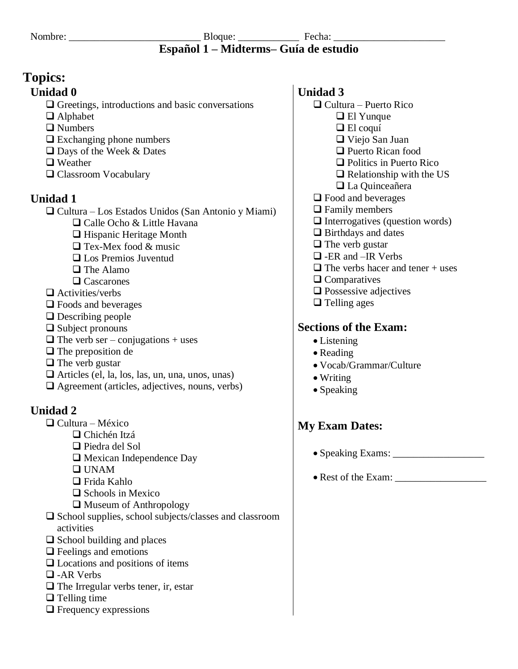#### Nombre: \_\_\_\_\_\_\_\_\_\_\_\_\_\_\_\_\_\_\_\_\_\_\_\_\_\_ Bloque: \_\_\_\_\_\_\_\_\_\_\_\_ Fecha: \_\_\_\_\_\_\_\_\_\_\_\_\_\_\_\_\_\_\_\_\_\_ **Español 1 – Midterms– Guía de estudio**

# **Topics:**

## **Unidad 0**

❑ Greetings, introductions and basic conversations

- ❑ Alphabet
- ❑ Numbers
- ❑ Exchanging phone numbers
- ❑ Days of the Week & Dates
- ❑ Weather
- ❑ Classroom Vocabulary

# **Unidad 1**

❑ Cultura – Los Estados Unidos (San Antonio y Miami)

- ❑ Calle Ocho & Little Havana
- ❑ Hispanic Heritage Month
- ❑ Tex-Mex food & music
- ❑ Los Premios Juventud
- ❑ The Alamo
- ❑ Cascarones
- ❑ Activities/verbs
- ❑ Foods and beverages
- ❑ Describing people
- ❑ Subject pronouns
- $\Box$  The verb ser conjugations + uses
- ❑ The preposition de
- ❑ The verb gustar
- ❑ Articles (el, la, los, las, un, una, unos, unas)
- ❑ Agreement (articles, adjectives, nouns, verbs)

# **Unidad 2**

- ❑ Cultura México
	- ❑ Chichén Itzá
		- ❑ Piedra del Sol
			- ❑ Mexican Independence Day
		- ❑ UNAM
		- ❑ Frida Kahlo
		- ❑ Schools in Mexico
		- ❑ Museum of Anthropology
- ❑ School supplies, school subjects/classes and classroom activities
- ❑ School building and places
- ❑ Feelings and emotions
- ❑ Locations and positions of items
- ❑ -AR Verbs
- ❑ The Irregular verbs tener, ir, estar
- ❑ Telling time
- ❑ Frequency expressions

### **Unidad 3**

- ❑ Cultura Puerto Rico ❑ El Yunque ❑ El coquí ❑ Viejo San Juan ❑ Puerto Rican food ❑ Politics in Puerto Rico  $\Box$  Relationship with the US ❑ La Quinceañera ❑ Food and beverages ❑ Family members ❑ Interrogatives (question words)
- ❑ Birthdays and dates
- ❑ The verb gustar
- ❑ -ER and –IR Verbs
- $\Box$  The verbs hacer and tener + uses
- ❑ Comparatives
- ❑ Possessive adjectives
- ❑ Telling ages

# **Sections of the Exam:**

- Listening
- Reading
- Vocab/Grammar/Culture
- Writing
- Speaking

# **My Exam Dates:**

- Speaking Exams: \_\_\_\_\_\_\_\_\_\_\_\_\_\_\_\_\_\_
- Rest of the Exam: \_\_\_\_\_\_\_\_\_\_\_\_\_\_\_\_\_\_